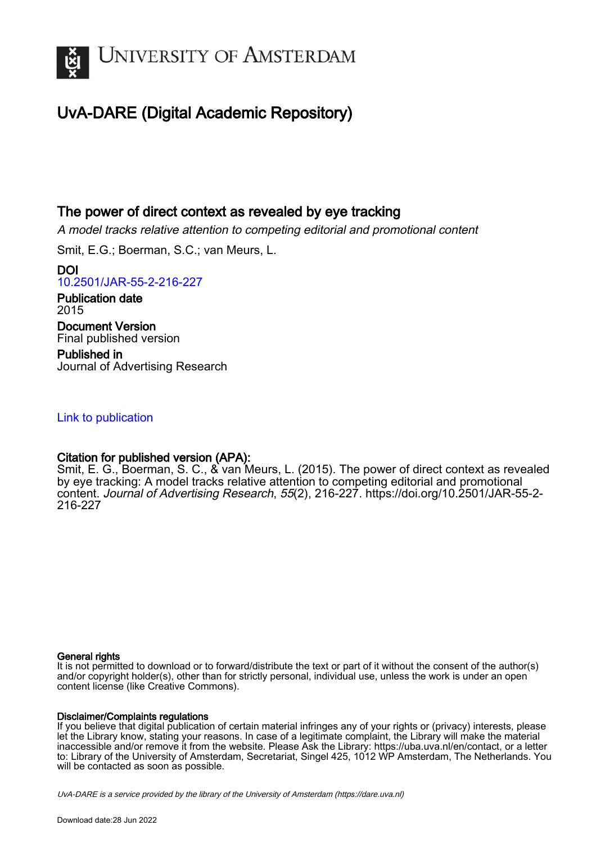

## UvA-DARE (Digital Academic Repository)

## The power of direct context as revealed by eye tracking

A model tracks relative attention to competing editorial and promotional content

Smit, E.G.; Boerman, S.C.; van Meurs, L.

DOI [10.2501/JAR-55-2-216-227](https://doi.org/10.2501/JAR-55-2-216-227)

Publication date 2015 Document Version Final published version

Published in Journal of Advertising Research

## [Link to publication](https://dare.uva.nl/personal/pure/en/publications/the-power-of-direct-context-as-revealed-by-eye-tracking(90de65d8-73f2-45cf-8acc-982e4e069cec).html)

## Citation for published version (APA):

Smit, E. G., Boerman, S. C., & van Meurs, L. (2015). The power of direct context as revealed by eye tracking: A model tracks relative attention to competing editorial and promotional content. Journal of Advertising Research, 55(2), 216-227. [https://doi.org/10.2501/JAR-55-2-](https://doi.org/10.2501/JAR-55-2-216-227) [216-227](https://doi.org/10.2501/JAR-55-2-216-227)

#### General rights

It is not permitted to download or to forward/distribute the text or part of it without the consent of the author(s) and/or copyright holder(s), other than for strictly personal, individual use, unless the work is under an open content license (like Creative Commons).

#### Disclaimer/Complaints regulations

If you believe that digital publication of certain material infringes any of your rights or (privacy) interests, please let the Library know, stating your reasons. In case of a legitimate complaint, the Library will make the material inaccessible and/or remove it from the website. Please Ask the Library: https://uba.uva.nl/en/contact, or a letter to: Library of the University of Amsterdam, Secretariat, Singel 425, 1012 WP Amsterdam, The Netherlands. You will be contacted as soon as possible.

UvA-DARE is a service provided by the library of the University of Amsterdam (http*s*://dare.uva.nl)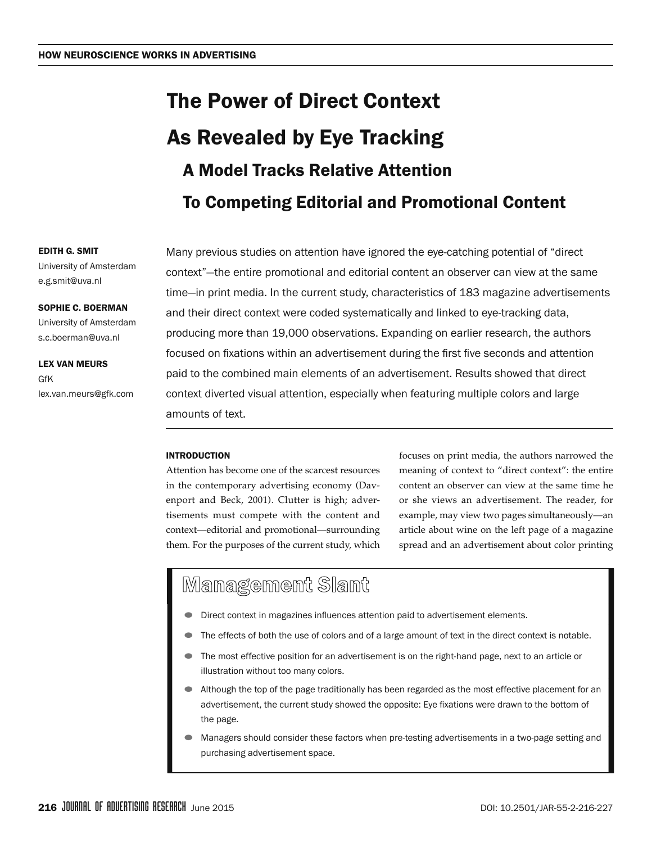# The Power of Direct Context As Revealed by Eye Tracking A Model Tracks Relative Attention To Competing Editorial and Promotional Content

Many previous studies on attention have ignored the eye-catching potential of "direct context"—the entire promotional and editorial content an observer can view at the same time—in print media. In the current study, characteristics of 183 magazine advertisements and their direct context were coded systematically and linked to eye-tracking data, producing more than 19,000 observations. Expanding on earlier research, the authors focused on fixations within an advertisement during the first five seconds and attention paid to the combined main elements of an advertisement. Results showed that direct context diverted visual attention, especially when featuring multiple colors and large amounts of text.

## INTRODUCTION

Attention has become one of the scarcest resources in the contemporary advertising economy (Davenport and Beck, 2001). Clutter is high; advertisements must compete with the content and context—editorial and promotional—surrounding them. For the purposes of the current study, which

focuses on print media, the authors narrowed the meaning of context to "direct context": the entire content an observer can view at the same time he or she views an advertisement. The reader, for example, may view two pages simultaneously—an article about wine on the left page of a magazine spread and an advertisement about color printing

## Management Slant

- Direct context in magazines influences attention paid to advertisement elements.
- The effects of both the use of colors and of a large amount of text in the direct context is notable.
- The most effective position for an advertisement is on the right-hand page, next to an article or illustration without too many colors.
- Although the top of the page traditionally has been regarded as the most effective placement for an advertisement, the current study showed the opposite: Eye fixations were drawn to the bottom of the page.
- Managers should consider these factors when pre-testing advertisements in a two-page setting and purchasing advertisement space.

## Edith G. Smit

University of Amsterdam e.g.smit@uva.nl

#### Sophie C. Boerman

University of Amsterdam s.c.boerman@uva.nl

Lex van Meurs **GfK** lex.van.meurs@gfk.com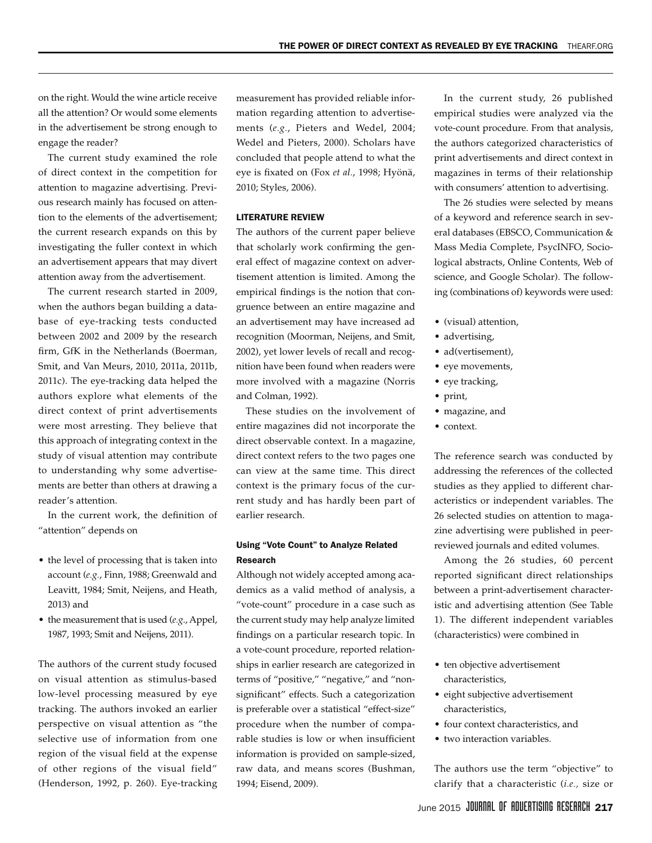on the right. Would the wine article receive all the attention? Or would some elements in the advertisement be strong enough to engage the reader?

The current study examined the role of direct context in the competition for attention to magazine advertising. Previous research mainly has focused on attention to the elements of the advertisement; the current research expands on this by investigating the fuller context in which an advertisement appears that may divert attention away from the advertisement.

The current research started in 2009, when the authors began building a database of eye-tracking tests conducted between 2002 and 2009 by the research firm, GfK in the Netherlands (Boerman, Smit, and Van Meurs, 2010, 2011a, 2011b, 2011c). The eye-tracking data helped the authors explore what elements of the direct context of print advertisements were most arresting. They believe that this approach of integrating context in the study of visual attention may contribute to understanding why some advertisements are better than others at drawing a reader's attention.

In the current work, the definition of "attention" depends on

- the level of processing that is taken into account (*e.g.*, Finn, 1988; Greenwald and Leavitt, 1984; Smit, Neijens, and Heath, 2013) and
- the measurement that is used (*e.g.*, Appel, 1987, 1993; Smit and Neijens, 2011).

The authors of the current study focused on visual attention as stimulus-based low-level processing measured by eye tracking. The authors invoked an earlier perspective on visual attention as "the selective use of information from one region of the visual field at the expense of other regions of the visual field" (Henderson, 1992, p. 260). Eye-tracking measurement has provided reliable information regarding attention to advertisements (*e.g.*, Pieters and Wedel, 2004; Wedel and Pieters, 2000). Scholars have concluded that people attend to what the eye is fixated on (Fox *et al.*, 1998; Hyönä, 2010; Styles, 2006).

#### LITERATURE REVIEW

The authors of the current paper believe that scholarly work confirming the general effect of magazine context on advertisement attention is limited. Among the empirical findings is the notion that congruence between an entire magazine and an advertisement may have increased ad recognition (Moorman, Neijens, and Smit, 2002), yet lower levels of recall and recognition have been found when readers were more involved with a magazine (Norris and Colman, 1992).

These studies on the involvement of entire magazines did not incorporate the direct observable context. In a magazine, direct context refers to the two pages one can view at the same time. This direct context is the primary focus of the current study and has hardly been part of earlier research.

#### Using "Vote Count" to Analyze Related Research

Although not widely accepted among academics as a valid method of analysis, a "vote-count" procedure in a case such as the current study may help analyze limited findings on a particular research topic. In a vote-count procedure, reported relationships in earlier research are categorized in terms of "positive," "negative," and "nonsignificant" effects. Such a categorization is preferable over a statistical "effect-size" procedure when the number of comparable studies is low or when insufficient information is provided on sample-sized, raw data, and means scores (Bushman, 1994; Eisend, 2009).

In the current study, 26 published empirical studies were analyzed via the vote-count procedure. From that analysis, the authors categorized characteristics of print advertisements and direct context in magazines in terms of their relationship with consumers' attention to advertising.

The 26 studies were selected by means of a keyword and reference search in several databases (EBSCO, Communication & Mass Media Complete, PsycINFO, Sociological abstracts, Online Contents, Web of science, and Google Scholar). The following (combinations of) keywords were used:

- • (visual) attention,
- advertising,
- ad(vertisement),
- eye movements,
- eye tracking,
- • print,
- • magazine, and
- context.

The reference search was conducted by addressing the references of the collected studies as they applied to different characteristics or independent variables. The 26 selected studies on attention to magazine advertising were published in peerreviewed journals and edited volumes.

Among the 26 studies, 60 percent reported significant direct relationships between a print-advertisement characteristic and advertising attention (See Table 1). The different independent variables (characteristics) were combined in

- ten objective advertisement characteristics,
- • eight subjective advertisement characteristics,
- four context characteristics, and
- two interaction variables.

The authors use the term "objective" to clarify that a characteristic (*i.e.,* size or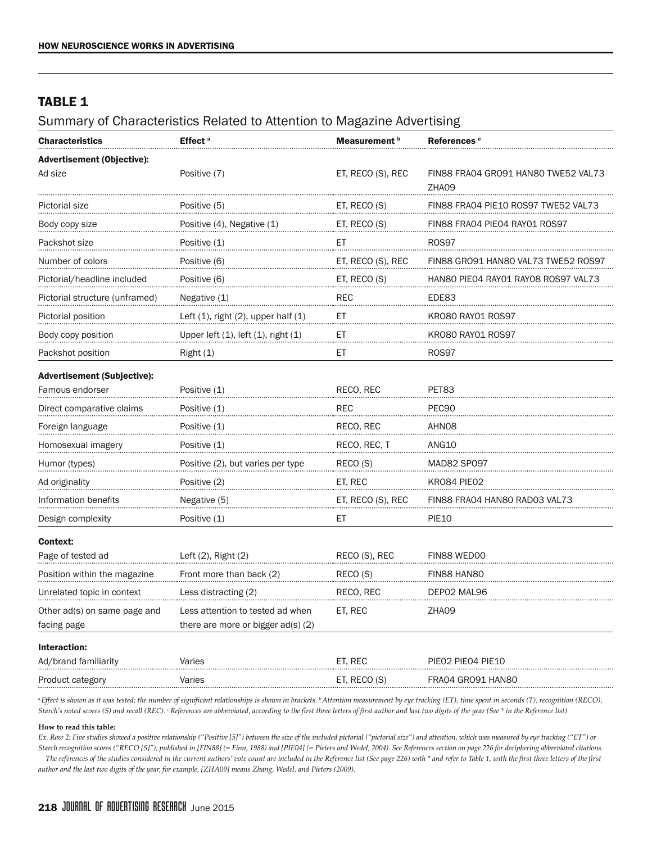## **TABLE 1**

Summary of Characteristics Related to Attention to Magazine Advertising

| <b>Characteristics</b>             | Effect <sup>a</sup>                         | Measurement b     | References <sup>c</sup>                      |  |
|------------------------------------|---------------------------------------------|-------------------|----------------------------------------------|--|
| <b>Advertisement (Objective):</b>  |                                             |                   |                                              |  |
| Ad size                            | Positive (7)                                | ET, RECO (S), REC | FIN88 FRA04 GRO91 HAN80 TWE52 VAL73<br>ZHA09 |  |
| Pictorial size                     | Positive (5)                                | ET, RECO (S)      | FIN88 FRA04 PIE10 ROS97 TWE52 VAL73          |  |
| Body copy size                     | Positive (4), Negative (1)                  | ET, RECO (S)      | FIN88 FRA04 PIE04 RAY01 ROS97                |  |
| Packshot size                      | Positive (1)                                | ET                | <b>ROS97</b>                                 |  |
| Number of colors                   | Positive (6)                                | ET, RECO (S), REC | FIN88 GRO91 HAN80 VAL73 TWE52 ROS97          |  |
| Pictorial/headline included        | Positive (6)                                | ET, RECO (S)      | HAN80 PIE04 RAY01 RAY08 ROS97 VAL73          |  |
| Pictorial structure (unframed)     | Negative (1)                                | REC               | EDE83                                        |  |
| Pictorial position                 | Left $(1)$ , right $(2)$ , upper half $(1)$ | ЕT                | KRO80 RAY01 ROS97                            |  |
| Body copy position                 | Upper left $(1)$ , left $(1)$ , right $(1)$ | ЕT                | KR080 RAY01 R0S97                            |  |
| Packshot position                  | Right(1)                                    | ЕT                | ROS97                                        |  |
| <b>Advertisement (Subjective):</b> |                                             |                   |                                              |  |
| Famous endorser                    | Positive (1)                                | RECO, REC         | PET83                                        |  |
| Direct comparative claims          | Positive (1)                                | REC               | PEC90                                        |  |
| Foreign language                   | Positive (1)                                | RECO, REC         | AHN08                                        |  |
| Homosexual imagery                 | Positive (1)                                | RECO, REC, T      | ANG10                                        |  |
| Humor (types)                      | Positive (2), but varies per type           | RECO (S)          | MAD82 SP097                                  |  |
| Ad originality                     | Positive (2)                                | ET, REC           | KRO84 PIE02                                  |  |
| Information benefits               | Negative (5)                                | ET, RECO (S), REC | FIN88 FRA04 HAN80 RAD03 VAL73                |  |
| Design complexity                  | Positive (1)                                | ЕT                | <b>PIE10</b>                                 |  |
| Context:                           |                                             |                   |                                              |  |
| Page of tested ad                  | Left (2), Right (2)                         | RECO (S), REC     | FIN88 WED00                                  |  |
| Position within the magazine       | Front more than back (2)                    | RECO (S)          | FIN88 HAN80                                  |  |
| Unrelated topic in context         | Less distracting (2)                        | RECO, REC         | DEP02 MAL96                                  |  |
| Other ad(s) on same page and       | Less attention to tested ad when            | ET, REC           | ZHA09                                        |  |
| facing page                        | there are more or bigger $ad(s)$ (2)        |                   |                                              |  |
| Interaction:                       |                                             |                   |                                              |  |
| Ad/brand familiarity               | Varies                                      | ET, REC           | PIEO2 PIEO4 PIE10                            |  |
| Product category                   | Varies                                      | ET, RECO (S)      | FRA04 GRO91 HAN80                            |  |

<sup>a</sup> Effect is shown as it was tested; the number of significant relationships is shown in brackets. <sup>b</sup> Attention measurement by eye tracking (ET), time spent in seconds (T), recognition (RECO), Starch's noted scores (S) and recall (REC). <sup>c</sup> References are abbreviated, according to the first three letters of first author and last two digits of the year (See \* in the Reference list).

#### **How to read this table:**

*Ex. Row 2: Five studies showed a positive relationship ("Positive [5]") between the size of the included pictorial ("pictorial size") and attention, which was measured by eye tracking ("ET") or Starch recognition scores ("RECO [S]"), published in [FIN88] (= Finn, 1988) and [PIE04] (= Pieters and Wedel, 2004). See References section on page 226 for deciphering abbreviated citations.* The references of the studies considered in the current authors' vote count are included in the Reference list (See page 226) with \* and refer to Table 1, with the first three letters of the first

*author and the last two digits of the year, for example, [ZHA09] means Zhang, Wedel, and Pieters (2009).*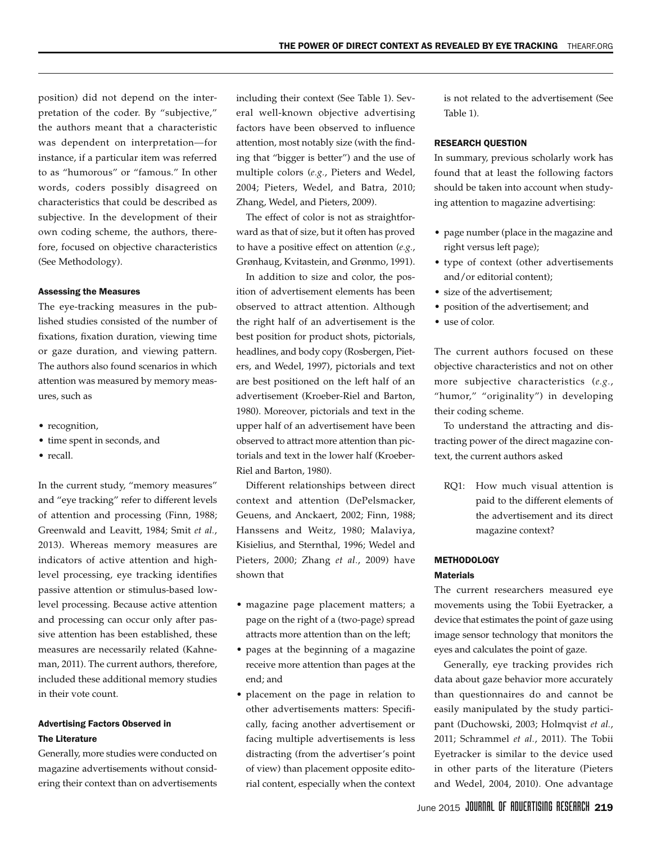position) did not depend on the interpretation of the coder. By "subjective," the authors meant that a characteristic was dependent on interpretation—for instance, if a particular item was referred to as "humorous" or "famous." In other words, coders possibly disagreed on characteristics that could be described as subjective. In the development of their own coding scheme, the authors, therefore, focused on objective characteristics (See Methodology).

#### Assessing the Measures

The eye-tracking measures in the published studies consisted of the number of fixations, fixation duration, viewing time or gaze duration, and viewing pattern. The authors also found scenarios in which attention was measured by memory measures, such as

- recognition,
- • time spent in seconds, and
- recall.

In the current study, "memory measures" and "eye tracking" refer to different levels of attention and processing (Finn, 1988; Greenwald and Leavitt, 1984; Smit *et al.*, 2013). Whereas memory measures are indicators of active attention and highlevel processing, eye tracking identifies passive attention or stimulus-based lowlevel processing. Because active attention and processing can occur only after passive attention has been established, these measures are necessarily related (Kahneman, 2011). The current authors, therefore, included these additional memory studies in their vote count.

#### Advertising Factors Observed in The Literature

Generally, more studies were conducted on magazine advertisements without considering their context than on advertisements

including their context (See Table 1). Several well-known objective advertising factors have been observed to influence attention, most notably size (with the finding that "bigger is better") and the use of multiple colors (*e.g.*, Pieters and Wedel, 2004; Pieters, Wedel, and Batra, 2010; Zhang, Wedel, and Pieters, 2009).

The effect of color is not as straightforward as that of size, but it often has proved to have a positive effect on attention (*e.g.*, Grønhaug, Kvitastein, and Grønmo, 1991).

In addition to size and color, the position of advertisement elements has been observed to attract attention. Although the right half of an advertisement is the best position for product shots, pictorials, headlines, and body copy (Rosbergen, Pieters, and Wedel, 1997), pictorials and text are best positioned on the left half of an advertisement (Kroeber-Riel and Barton, 1980). Moreover, pictorials and text in the upper half of an advertisement have been observed to attract more attention than pictorials and text in the lower half (Kroeber-Riel and Barton, 1980).

Different relationships between direct context and attention (DePelsmacker, Geuens, and Anckaert, 2002; Finn, 1988; Hanssens and Weitz, 1980; Malaviya, Kisielius, and Sternthal, 1996; Wedel and Pieters, 2000; Zhang *et al.*, 2009) have shown that

- • magazine page placement matters; a page on the right of a (two-page) spread attracts more attention than on the left;
- • pages at the beginning of a magazine receive more attention than pages at the end; and
- • placement on the page in relation to other advertisements matters: Specifically, facing another advertisement or facing multiple advertisements is less distracting (from the advertiser's point of view) than placement opposite editorial content, especially when the context

is not related to the advertisement (See Table 1).

#### RESEARCH QUESTION

In summary, previous scholarly work has found that at least the following factors should be taken into account when studying attention to magazine advertising:

- • page number (place in the magazine and right versus left page);
- • type of context (other advertisements and/or editorial content);
- size of the advertisement;
- position of the advertisement; and
- use of color.

The current authors focused on these objective characteristics and not on other more subjective characteristics (*e.g.*, "humor," "originality") in developing their coding scheme.

To understand the attracting and distracting power of the direct magazine context, the current authors asked

RQ1: How much visual attention is paid to the different elements of the advertisement and its direct magazine context?

## **METHODOLOGY**

#### **Materials**

The current researchers measured eye movements using the Tobii Eyetracker, a device that estimates the point of gaze using image sensor technology that monitors the eyes and calculates the point of gaze.

Generally, eye tracking provides rich data about gaze behavior more accurately than questionnaires do and cannot be easily manipulated by the study participant (Duchowski, 2003; Holmqvist *et al.*, 2011; Schrammel *et al.*, 2011). The Tobii Eyetracker is similar to the device used in other parts of the literature (Pieters and Wedel, 2004, 2010). One advantage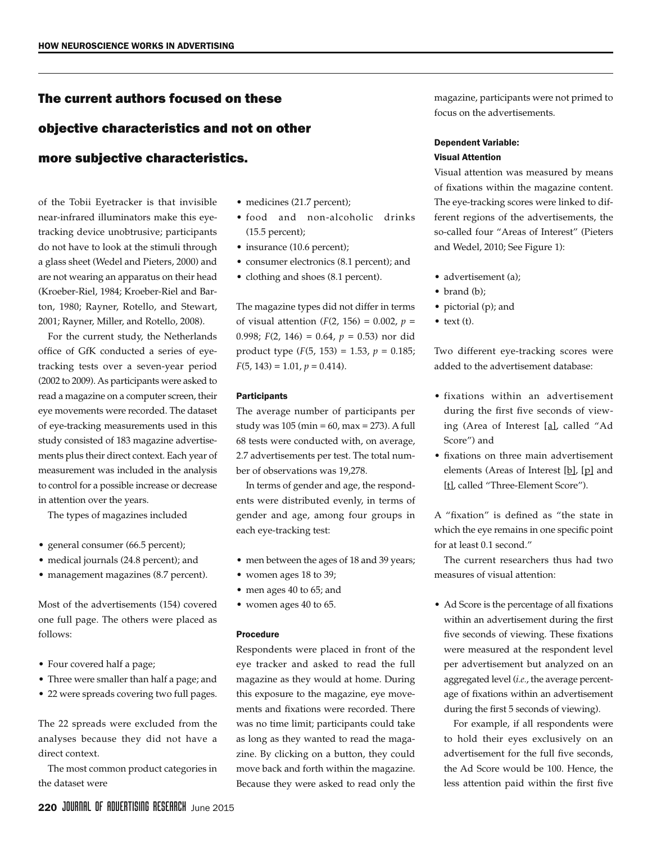## The current authors focused on these

## objective characteristics and not on other

## more subjective characteristics.

of the Tobii Eyetracker is that invisible near-infrared illuminators make this eyetracking device unobtrusive; participants do not have to look at the stimuli through a glass sheet (Wedel and Pieters, 2000) and are not wearing an apparatus on their head (Kroeber-Riel, 1984; Kroeber-Riel and Barton, 1980; Rayner, Rotello, and Stewart, 2001; Rayner, Miller, and Rotello, 2008).

For the current study, the Netherlands office of GfK conducted a series of eyetracking tests over a seven-year period (2002 to 2009). As participants were asked to read a magazine on a computer screen, their eye movements were recorded. The dataset of eye-tracking measurements used in this study consisted of 183 magazine advertisements plus their direct context. Each year of measurement was included in the analysis to control for a possible increase or decrease in attention over the years.

The types of magazines included

- general consumer (66.5 percent);
- • medical journals (24.8 percent); and
- management magazines (8.7 percent).

Most of the advertisements (154) covered one full page. The others were placed as follows:

- Four covered half a page;
- Three were smaller than half a page; and
- 22 were spreads covering two full pages.

The 22 spreads were excluded from the analyses because they did not have a direct context.

The most common product categories in the dataset were

- medicines (21.7 percent);
- • food and non-alcoholic drinks (15.5 percent);
- insurance (10.6 percent);
- consumer electronics (8.1 percent); and
- clothing and shoes (8.1 percent).

The magazine types did not differ in terms of visual attention  $(F(2, 156) = 0.002, p =$ 0.998; *F*(2, 146) = 0.64, *p* = 0.53) nor did product type (*F*(5, 153) = 1.53,  $p = 0.185$ ;  $F(5, 143) = 1.01, p = 0.414.$ 

#### **Participants**

The average number of participants per study was 105 (min = 60, max = 273). A full 68 tests were conducted with, on average, 2.7 advertisements per test. The total number of observations was 19,278.

In terms of gender and age, the respondents were distributed evenly, in terms of gender and age, among four groups in each eye-tracking test:

- men between the ages of 18 and 39 years;
- women ages 18 to 39;
- men ages 40 to 65; and
- women ages 40 to 65.

#### Procedure

Respondents were placed in front of the eye tracker and asked to read the full magazine as they would at home. During this exposure to the magazine, eye movements and fixations were recorded. There was no time limit; participants could take as long as they wanted to read the magazine. By clicking on a button, they could move back and forth within the magazine. Because they were asked to read only the

magazine, participants were not primed to focus on the advertisements.

#### Dependent Variable: Visual Attention

Visual attention was measured by means of fixations within the magazine content. The eye-tracking scores were linked to different regions of the advertisements, the so-called four "Areas of Interest" (Pieters and Wedel, 2010; See Figure 1):

- advertisement (a);
- brand (b);
- pictorial (p); and
- $\bullet$  text (t).

Two different eye-tracking scores were added to the advertisement database:

- • fixations within an advertisement during the first five seconds of viewing (Area of Interest [a], called "Ad Score") and
- • fixations on three main advertisement elements (Areas of Interest [b], [p] and [t], called "Three-Element Score").

A "fixation" is defined as "the state in which the eye remains in one specific point for at least 0.1 second."

The current researchers thus had two measures of visual attention:

• Ad Score is the percentage of all fixations within an advertisement during the first five seconds of viewing. These fixations were measured at the respondent level per advertisement but analyzed on an aggregated level (*i.e.*, the average percentage of fixations within an advertisement during the first 5 seconds of viewing).

For example, if all respondents were to hold their eyes exclusively on an advertisement for the full five seconds, the Ad Score would be 100. Hence, the less attention paid within the first five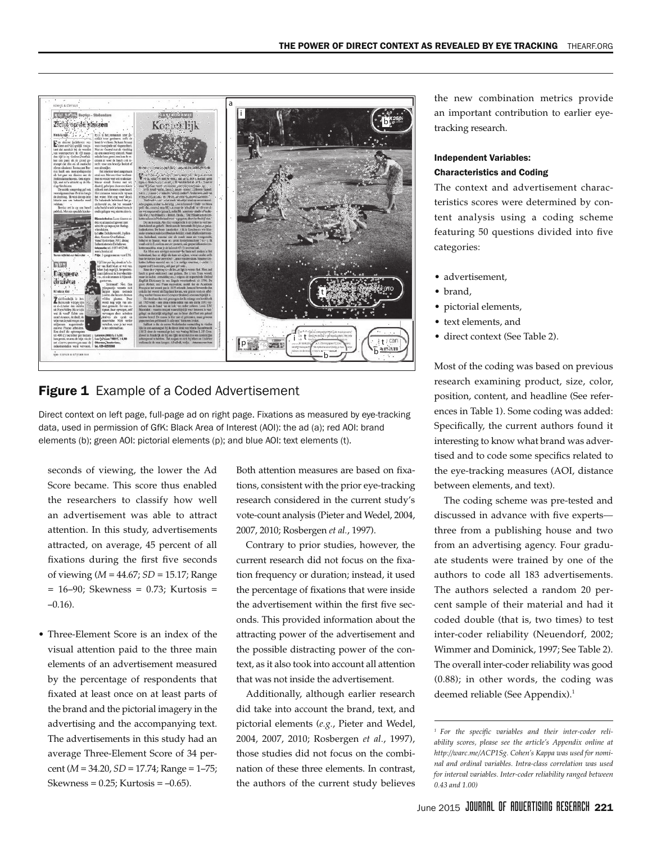

## **Figure 1** Example of a Coded Advertisement

Direct context on left page, full-page ad on right page. Fixations as measured by eye-tracking data, used in permission of GfK: Black Area of Interest (AOI): the ad (a); red AOI: brand elements (b); green AOI: pictorial elements (p); and blue AOI: text elements (t).

seconds of viewing, the lower the Ad Score became. This score thus enabled the researchers to classify how well an advertisement was able to attract attention. In this study, advertisements attracted, on average, 45 percent of all fixations during the first five seconds of viewing (*M* = 44.67; *SD* = 15.17; Range  $= 16-90$ ; Skewness  $= 0.73$ ; Kurtosis  $=$  $-0.16$ ).

• Three-Element Score is an index of the visual attention paid to the three main elements of an advertisement measured by the percentage of respondents that fixated at least once on at least parts of the brand and the pictorial imagery in the advertising and the accompanying text. The advertisements in this study had an average Three-Element Score of 34 percent (*M* = 34.20, *SD* = 17.74; Range = 1–75; Skewness =  $0.25$ ; Kurtosis =  $-0.65$ ).

Both attention measures are based on fixations, consistent with the prior eye-tracking research considered in the current study's vote-count analysis (Pieter and Wedel, 2004, 2007, 2010; Rosbergen *et al.*, 1997).

Contrary to prior studies, however, the current research did not focus on the fixation frequency or duration; instead, it used the percentage of fixations that were inside the advertisement within the first five seconds. This provided information about the attracting power of the advertisement and the possible distracting power of the context, as it also took into account all attention that was not inside the advertisement.

Additionally, although earlier research did take into account the brand, text, and pictorial elements (*e.g.*, Pieter and Wedel, 2004, 2007, 2010; Rosbergen *et al.*, 1997), those studies did not focus on the combination of these three elements. In contrast, the authors of the current study believes

the new combination metrics provide an important contribution to earlier eyetracking research.

#### Independent Variables: Characteristics and Coding

The context and advertisement characteristics scores were determined by content analysis using a coding scheme featuring 50 questions divided into five categories:

- advertisement,
- brand,
- • pictorial elements,
- • text elements, and
- • direct context (See Table 2).

Most of the coding was based on previous research examining product, size, color, position, content, and headline (See references in Table 1). Some coding was added: Specifically, the current authors found it interesting to know what brand was advertised and to code some specifics related to the eye-tracking measures (AOI, distance between elements, and text).

The coding scheme was pre-tested and discussed in advance with five experts three from a publishing house and two from an advertising agency. Four graduate students were trained by one of the authors to code all 183 advertisements. The authors selected a random 20 percent sample of their material and had it coded double (that is, two times) to test inter-coder reliability (Neuendorf, 2002; Wimmer and Dominick, 1997; See Table 2). The overall inter-coder reliability was good (0.88); in other words, the coding was deemed reliable (See Appendix).<sup>1</sup>

*<sup>1</sup> For the specific variables and their inter-coder reliability scores, please see the article's Appendix online at http://warc.me/ACP1Sg. Cohen's Kappa was used for nominal and ordinal variables. Intra-class correlation was used for interval variables. Inter-coder reliability ranged between 0.43 and 1.00)*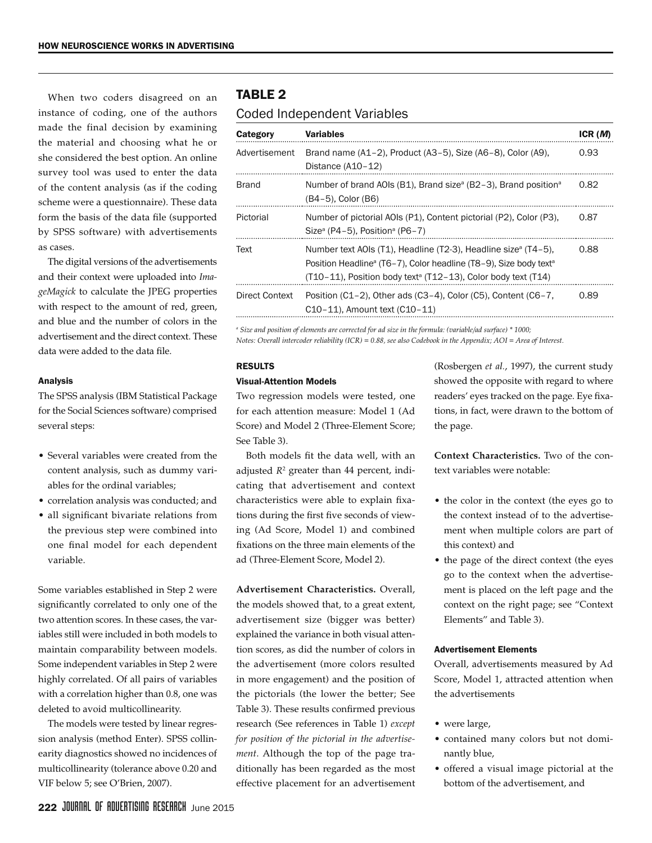When two coders disagreed on an instance of coding, one of the authors made the final decision by examining the material and choosing what he or she considered the best option. An online survey tool was used to enter the data of the content analysis (as if the coding scheme were a questionnaire). These data form the basis of the data file (supported by SPSS software) with advertisements as cases.

The digital versions of the advertisements and their context were uploaded into *ImageMagick* to calculate the JPEG properties with respect to the amount of red, green, and blue and the number of colors in the advertisement and the direct context. These data were added to the data file.

#### Analysis

The SPSS analysis (IBM Statistical Package for the Social Sciences software) comprised several steps:

- Several variables were created from the content analysis, such as dummy variables for the ordinal variables;
- • correlation analysis was conducted; and
- all significant bivariate relations from the previous step were combined into one final model for each dependent variable.

Some variables established in Step 2 were significantly correlated to only one of the two attention scores. In these cases, the variables still were included in both models to maintain comparability between models. Some independent variables in Step 2 were highly correlated. Of all pairs of variables with a correlation higher than 0.8, one was deleted to avoid multicollinearity.

The models were tested by linear regression analysis (method Enter). SPSS collinearity diagnostics showed no incidences of multicollinearity (tolerance above 0.20 and VIF below 5; see O'Brien, 2007).

## Table 2

### Coded Independent Variables

| Category       | <b>Variables</b>                                                                                                                                                                                                                                        | ICR(M) |
|----------------|---------------------------------------------------------------------------------------------------------------------------------------------------------------------------------------------------------------------------------------------------------|--------|
| Advertisement  | Brand name $(A1-2)$ , Product $(A3-5)$ , Size $(A6-8)$ , Color $(A9)$ ,<br>Distance $(A10-12)$                                                                                                                                                          | 0.93   |
| <b>Brand</b>   | Number of brand AOIs (B1), Brand size <sup><math>a</math></sup> (B2–3), Brand position <sup>a</sup><br>(B4–5), Color (B6)                                                                                                                               | 0.82   |
| Pictorial      | Number of pictorial AOIs (P1), Content pictorial (P2), Color (P3),<br>Size <sup>a</sup> (P4-5), Position <sup>a</sup> (P6-7)                                                                                                                            | 0.87   |
| Text           | Number text AOIs (T1), Headline (T2-3), Headline size <sup>a</sup> (T4-5),<br>Position Headline <sup>a</sup> (T6–7), Color headline (T8–9), Size body text <sup>a</sup><br>$(T10-11)$ , Position body text <sup>a</sup> (T12-13), Color body text (T14) | 0.88   |
| Direct Context | Position $(C1-2)$ , Other ads $(C3-4)$ , Color $(C5)$ , Content $(C6-7)$ ,<br>C <sub>10</sub> -11), Amount text (C <sub>10</sub> -11)                                                                                                                   | 0.89   |

*a Size and position of elements are corrected for ad size in the formula: (variable/ad surface) \* 1000;*

*Notes: Overall intercoder reliability (ICR) = 0.88, see also Codebook in the Appendix; AOI = Area of Interest.*

#### RESULTS

#### Visual-Attention Models

Two regression models were tested, one for each attention measure: Model 1 (Ad Score) and Model 2 (Three-Element Score; See Table 3).

Both models fit the data well, with an adjusted *R*<sup>2</sup> greater than 44 percent, indicating that advertisement and context characteristics were able to explain fixations during the first five seconds of viewing (Ad Score, Model 1) and combined fixations on the three main elements of the ad (Three-Element Score, Model 2).

**Advertisement Characteristics.** Overall, the models showed that, to a great extent, advertisement size (bigger was better) explained the variance in both visual attention scores, as did the number of colors in the advertisement (more colors resulted in more engagement) and the position of the pictorials (the lower the better; See Table 3). These results confirmed previous research (See references in Table 1) *except for position of the pictorial in the advertisement*. Although the top of the page traditionally has been regarded as the most effective placement for an advertisement (Rosbergen *et al.*, 1997), the current study showed the opposite with regard to where readers' eyes tracked on the page. Eye fixations, in fact, were drawn to the bottom of the page.

**Context Characteristics.** Two of the context variables were notable:

- the color in the context (the eyes go to the context instead of to the advertisement when multiple colors are part of this context) and
- the page of the direct context (the eyes go to the context when the advertisement is placed on the left page and the context on the right page; see "Context Elements" and Table 3).

#### Advertisement Elements

Overall, advertisements measured by Ad Score, Model 1, attracted attention when the advertisements

- were large,
- • contained many colors but not dominantly blue,
- • offered a visual image pictorial at the bottom of the advertisement, and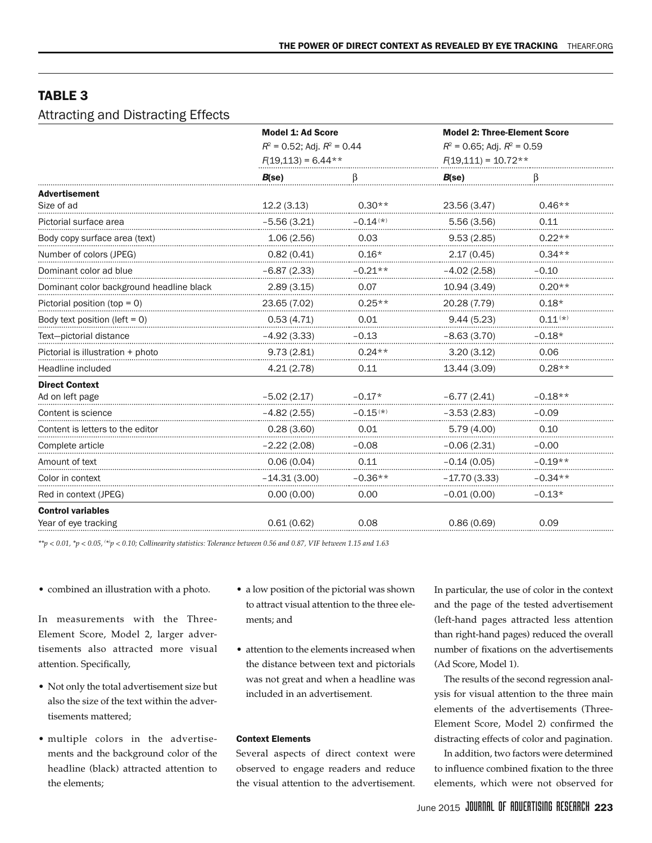## TABLE<sub>3</sub>

## Attracting and Distracting Effects

|                                          | <b>Model 1: Ad Score</b><br>$R^2$ = 0.52; Adj. $R^2$ = 0.44<br>$F(19,113) = 6.44**$ |               | <b>Model 2: Three-Element Score</b><br>$R^2$ = 0.65; Adj. $R^2$ = 0.59<br>$F(19,111) = 10.72**$ |              |
|------------------------------------------|-------------------------------------------------------------------------------------|---------------|-------------------------------------------------------------------------------------------------|--------------|
|                                          | $B$ (se)                                                                            |               | $B$ (se)                                                                                        |              |
| <b>Advertisement</b>                     |                                                                                     |               |                                                                                                 |              |
| Size of ad                               | 12.2(3.13)                                                                          | $0.30**$      | 23.56 (3.47)                                                                                    | $0.46**$     |
| Pictorial surface area                   | $-5.56(3.21)$                                                                       | $-0.14^{(*)}$ | 5.56(3.56)                                                                                      | 0.11         |
| Body copy surface area (text)            | 1.06(2.56)                                                                          | 0.03          | 9.53(2.85)                                                                                      | $0.22**$     |
| Number of colors (JPEG)                  | 0.82(0.41)                                                                          | $0.16*$       | 2.17(0.45)                                                                                      | $0.34**$     |
| Dominant color ad blue                   | $-6.87(2.33)$                                                                       | $-0.21**$     | $-4.02(2.58)$                                                                                   | $-0.10$      |
| Dominant color background headline black | 2.89(3.15)                                                                          | 0.07          | 10.94 (3.49)                                                                                    | $0.20**$     |
| Pictorial position (top = 0)             | 23.65 (7.02)                                                                        | $0.25**$      | 20.28 (7.79)                                                                                    | $0.18*$      |
| Body text position (left $= 0$ )         | 0.53(4.71)                                                                          | 0.01          | 9.44(5.23)                                                                                      | $0.11^{(*)}$ |
| Text-pictorial distance                  | $-4.92(3.33)$                                                                       | $-0.13$       | $-8.63(3.70)$                                                                                   | $-0.18*$     |
| Pictorial is illustration + photo        | 9.73(2.81)                                                                          | $0.24**$      | 3.20(3.12)                                                                                      | 0.06         |
| Headline included                        | 4.21(2.78)                                                                          | 0.11          | 13.44 (3.09)                                                                                    | $0.28**$     |
| <b>Direct Context</b>                    |                                                                                     |               |                                                                                                 |              |
| Ad on left page                          | $-5.02(2.17)$                                                                       | $-0.17*$      | $-6.77(2.41)$                                                                                   | $-0.18**$    |
| Content is science                       | $-4.82(2.55)$                                                                       | $-0.15^{(*)}$ | $-3.53(2.83)$                                                                                   | $-0.09$      |
| Content is letters to the editor         | 0.28(3.60)                                                                          | 0.01          | 5.79(4.00)                                                                                      | 0.10         |
| Complete article                         | $-2.22(2.08)$                                                                       | $-0.08$       | $-0.06(2.31)$                                                                                   | $-0.00$      |
| Amount of text                           | 0.06(0.04)                                                                          | 0.11          | $-0.14(0.05)$                                                                                   | $-0.19**$    |
| Color in context                         | $-14.31(3.00)$                                                                      | $-0.36**$     | $-17.70(3.33)$                                                                                  | $-0.34**$    |
| Red in context (JPEG)                    | 0.00(0.00)                                                                          | 0.00          | $-0.01(0.00)$                                                                                   | $-0.13*$     |
| <b>Control variables</b>                 |                                                                                     |               |                                                                                                 |              |
| Year of eye tracking                     | 0.61(0.62)                                                                          | 0.08          | 0.86(0.69)                                                                                      | 0.09         |

*\*\*p < 0.01, \*p < 0.05, ( \*) p < 0.10; Collinearity statistics: Tolerance between 0.56 and 0.87, VIF between 1.15 and 1.63*

• combined an illustration with a photo.

In measurements with the Three-Element Score, Model 2, larger advertisements also attracted more visual attention. Specifically,

- Not only the total advertisement size but also the size of the text within the advertisements mattered;
- • multiple colors in the advertisements and the background color of the headline (black) attracted attention to the elements;
- a low position of the pictorial was shown to attract visual attention to the three elements; and
- attention to the elements increased when the distance between text and pictorials was not great and when a headline was included in an advertisement.

#### Context Elements

Several aspects of direct context were observed to engage readers and reduce the visual attention to the advertisement.

In particular, the use of color in the context and the page of the tested advertisement (left-hand pages attracted less attention than right-hand pages) reduced the overall number of fixations on the advertisements (Ad Score, Model 1).

The results of the second regression analysis for visual attention to the three main elements of the advertisements (Three-Element Score, Model 2) confirmed the distracting effects of color and pagination.

In addition, two factors were determined to influence combined fixation to the three elements, which were not observed for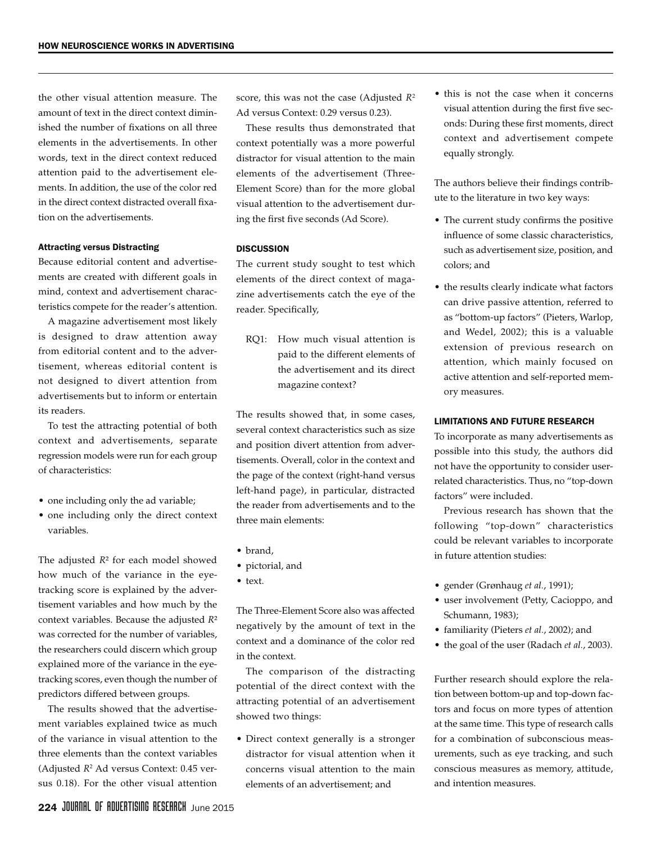the other visual attention measure. The amount of text in the direct context diminished the number of fixations on all three elements in the advertisements. In other words, text in the direct context reduced attention paid to the advertisement elements. In addition, the use of the color red in the direct context distracted overall fixation on the advertisements.

#### Attracting versus Distracting

Because editorial content and advertisements are created with different goals in mind, context and advertisement characteristics compete for the reader's attention.

A magazine advertisement most likely is designed to draw attention away from editorial content and to the advertisement, whereas editorial content is not designed to divert attention from advertisements but to inform or entertain its readers.

To test the attracting potential of both context and advertisements, separate regression models were run for each group of characteristics:

- one including only the ad variable;
- one including only the direct context variables.

The adjusted *R*² for each model showed how much of the variance in the eyetracking score is explained by the advertisement variables and how much by the context variables. Because the adjusted *R*² was corrected for the number of variables, the researchers could discern which group explained more of the variance in the eyetracking scores, even though the number of predictors differed between groups.

The results showed that the advertisement variables explained twice as much of the variance in visual attention to the three elements than the context variables (Adjusted *R*<sup>2</sup> Ad versus Context: 0.45 versus 0.18). For the other visual attention

score, this was not the case (Adjusted *R*<sup>2</sup> Ad versus Context: 0.29 versus 0.23).

These results thus demonstrated that context potentially was a more powerful distractor for visual attention to the main elements of the advertisement (Three-Element Score) than for the more global visual attention to the advertisement during the first five seconds (Ad Score).

#### **DISCUSSION**

The current study sought to test which elements of the direct context of magazine advertisements catch the eye of the reader. Specifically,

RQ1: How much visual attention is paid to the different elements of the advertisement and its direct magazine context?

The results showed that, in some cases, several context characteristics such as size and position divert attention from advertisements. Overall, color in the context and the page of the context (right-hand versus left-hand page), in particular, distracted the reader from advertisements and to the three main elements:

- brand,
- • pictorial, and
- text.

The Three-Element Score also was affected negatively by the amount of text in the context and a dominance of the color red in the context.

The comparison of the distracting potential of the direct context with the attracting potential of an advertisement showed two things:

• Direct context generally is a stronger distractor for visual attention when it concerns visual attention to the main elements of an advertisement; and

• this is not the case when it concerns visual attention during the first five seconds: During these first moments, direct context and advertisement compete equally strongly.

The authors believe their findings contribute to the literature in two key ways:

- • The current study confirms the positive influence of some classic characteristics, such as advertisement size, position, and colors; and
- the results clearly indicate what factors can drive passive attention, referred to as "bottom-up factors" (Pieters, Warlop, and Wedel, 2002); this is a valuable extension of previous research on attention, which mainly focused on active attention and self-reported memory measures.

#### LIMITATIONS AND FUTURE RESEARCH

To incorporate as many advertisements as possible into this study, the authors did not have the opportunity to consider userrelated characteristics. Thus, no "top-down factors" were included.

Previous research has shown that the following "top-down" characteristics could be relevant variables to incorporate in future attention studies:

- • gender (Grønhaug *et al.*, 1991);
- • user involvement (Petty, Cacioppo, and Schumann, 1983);
- • familiarity (Pieters *et al.*, 2002); and
- • the goal of the user (Radach *et al.*, 2003).

Further research should explore the relation between bottom-up and top-down factors and focus on more types of attention at the same time. This type of research calls for a combination of subconscious measurements, such as eye tracking, and such conscious measures as memory, attitude, and intention measures.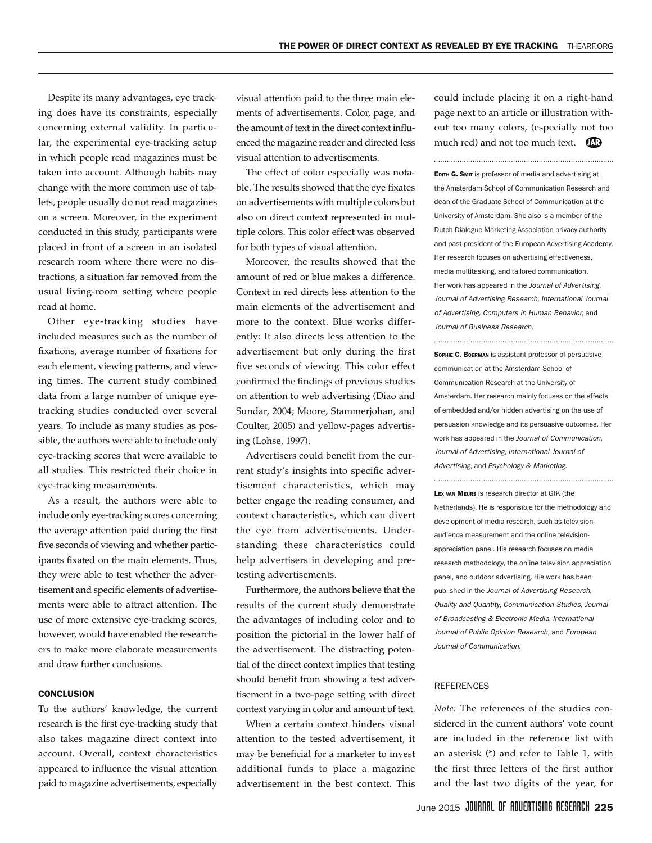Despite its many advantages, eye tracking does have its constraints, especially concerning external validity. In particular, the experimental eye-tracking setup in which people read magazines must be taken into account. Although habits may change with the more common use of tablets, people usually do not read magazines on a screen. Moreover, in the experiment conducted in this study, participants were placed in front of a screen in an isolated research room where there were no distractions, a situation far removed from the usual living-room setting where people read at home.

Other eye-tracking studies have included measures such as the number of fixations, average number of fixations for each element, viewing patterns, and viewing times. The current study combined data from a large number of unique eyetracking studies conducted over several years. To include as many studies as possible, the authors were able to include only eye-tracking scores that were available to all studies. This restricted their choice in eye-tracking measurements.

As a result, the authors were able to include only eye-tracking scores concerning the average attention paid during the first five seconds of viewing and whether participants fixated on the main elements. Thus, they were able to test whether the advertisement and specific elements of advertisements were able to attract attention. The use of more extensive eye-tracking scores, however, would have enabled the researchers to make more elaborate measurements and draw further conclusions.

#### **CONCLUSION**

To the authors' knowledge, the current research is the first eye-tracking study that also takes magazine direct context into account. Overall, context characteristics appeared to influence the visual attention paid to magazine advertisements, especially

visual attention paid to the three main elements of advertisements. Color, page, and the amount of text in the direct context influenced the magazine reader and directed less visual attention to advertisements.

The effect of color especially was notable. The results showed that the eye fixates on advertisements with multiple colors but also on direct context represented in multiple colors. This color effect was observed for both types of visual attention.

Moreover, the results showed that the amount of red or blue makes a difference. Context in red directs less attention to the main elements of the advertisement and more to the context. Blue works differently: It also directs less attention to the advertisement but only during the first five seconds of viewing. This color effect confirmed the findings of previous studies on attention to web advertising (Diao and Sundar, 2004; Moore, Stammerjohan, and Coulter, 2005) and yellow-pages advertising (Lohse, 1997).

Advertisers could benefit from the current study's insights into specific advertisement characteristics, which may better engage the reading consumer, and context characteristics, which can divert the eye from advertisements. Understanding these characteristics could help advertisers in developing and pretesting advertisements.

Furthermore, the authors believe that the results of the current study demonstrate the advantages of including color and to position the pictorial in the lower half of the advertisement. The distracting potential of the direct context implies that testing should benefit from showing a test advertisement in a two-page setting with direct context varying in color and amount of text.

When a certain context hinders visual attention to the tested advertisement, it may be beneficial for a marketer to invest additional funds to place a magazine advertisement in the best context. This could include placing it on a right-hand page next to an article or illustration without too many colors, (especially not too much red) and not too much text.  $\Box$ 

EDITH G. SMIT is professor of media and advertising at the Amsterdam School of Communication Research and dean of the Graduate School of Communication at the University of Amsterdam. She also is a member of the Dutch Dialogue Marketing Association privacy authority and past president of the European Advertising Academy. Her research focuses on advertising effectiveness, media multitasking, and tailored communication. Her work has appeared in the *Journal of Advertising*, *Journal of Advertising Research*, *International Journal of Advertising*, *Computers in Human Behavior*, and *Journal of Business Research*.

Sophie C. Boerman is assistant professor of persuasive communication at the Amsterdam School of Communication Research at the University of Amsterdam. Her research mainly focuses on the effects of embedded and/or hidden advertising on the use of persuasion knowledge and its persuasive outcomes. Her work has appeared in the *Journal of Communication*, *Journal of Advertising*, *International Journal of Advertising*, and *Psychology & Marketing*.

Lex van Meurs is research director at GfK (the Netherlands). He is responsible for the methodology and development of media research, such as televisionaudience measurement and the online televisionappreciation panel. His research focuses on media research methodology, the online television appreciation panel, and outdoor advertising. His work has been published in the *Journal of Advertising Research*, *Quality and Quantity*, *Communication Studies*, *Journal of Broadcasting & Electronic Media*, *International Journal of Public Opinion Research,* and *European Journal of Communication*.

#### **REFERENCES**

*Note:* The references of the studies considered in the current authors' vote count are included in the reference list with an asterisk (\*) and refer to Table 1, with the first three letters of the first author and the last two digits of the year, for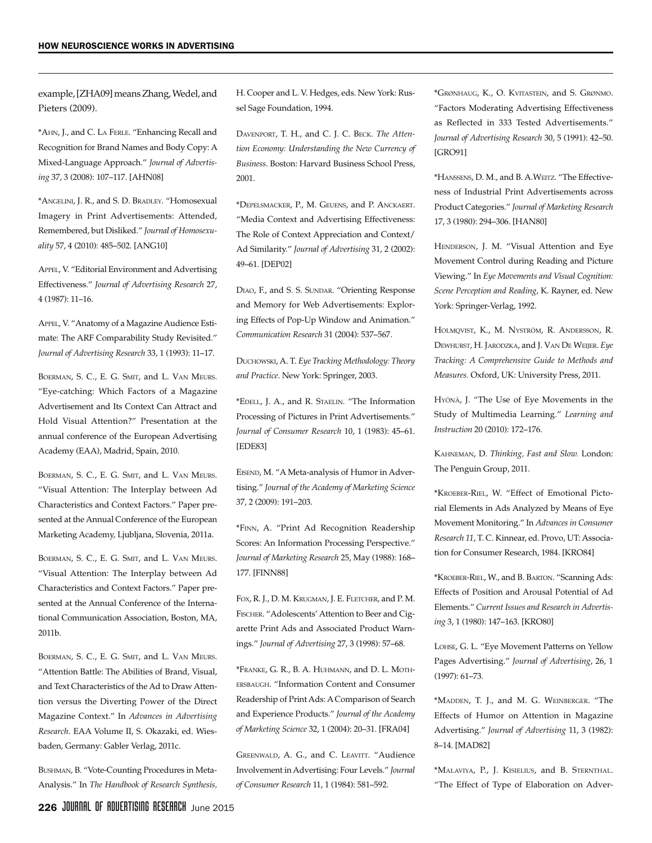example, [ZHA09] means Zhang, Wedel, and Pieters (2009).

\*Ahn, J., and C. La Ferle. "Enhancing Recall and Recognition for Brand Names and Body Copy: A Mixed-Language Approach." *Journal of Advertising* 37, 3 (2008): 107–117. [AHN08]

\*Angelini, J. R., and S. D. Bradley. "Homosexual Imagery in Print Advertisements: Attended, Remembered, but Disliked." *Journal of Homosexuality* 57, 4 (2010): 485–502. [ANG10]

Appel, V. "Editorial Environment and Advertising Effectiveness." *Journal of Advertising Research* 27, 4 (1987): 11–16.

Appel, V. "Anatomy of a Magazine Audience Estimate: The ARF Comparability Study Revisited." *Journal of Advertising Research* 33, 1 (1993): 11–17.

BOERMAN, S. C., E. G. SMIT, and L. VAN MEURS. "Eye-catching: Which Factors of a Magazine Advertisement and Its Context Can Attract and Hold Visual Attention?" Presentation at the annual conference of the European Advertising Academy (EAA), Madrid, Spain, 2010.

BOERMAN, S. C., E. G. SMIT, and L. VAN MEURS. "Visual Attention: The Interplay between Ad Characteristics and Context Factors." Paper presented at the Annual Conference of the European Marketing Academy, Ljubljana, Slovenia, 2011a.

BOERMAN, S. C., E. G. SMIT, and L. VAN MEURS. "Visual Attention: The Interplay between Ad Characteristics and Context Factors." Paper presented at the Annual Conference of the International Communication Association, Boston, MA, 2011b.

BOERMAN, S. C., E. G. SMIT, and L. VAN MEURS. "Attention Battle: The Abilities of Brand, Visual, and Text Characteristics of the Ad to Draw Attention versus the Diverting Power of the Direct Magazine Context." In *Advances in Advertising Research*. EAA Volume II, S. Okazaki, ed. Wiesbaden, Germany: Gabler Verlag, 2011c.

Bushman, B. "Vote-Counting Procedures in Meta-Analysis." In *The Handbook of Research Synthesis,* H. Cooper and L. V. Hedges, eds. New York: Russel Sage Foundation, 1994.

Davenport, T. H., and C. J. C. Beck. *The Attention Economy: Understanding the New Currency of Business*. Boston: Harvard Business School Press, 2001.

\*Depelsmacker, P., M. Geuens, and P. Anckaert. "Media Context and Advertising Effectiveness: The Role of Context Appreciation and Context/ Ad Similarity." *Journal of Advertising* 31, 2 (2002): 49–61. [DEP02]

DIAO, F., and S. S. SUNDAR. "Orienting Response and Memory for Web Advertisements: Exploring Effects of Pop-Up Window and Animation." *Communication Research* 31 (2004): 537–567.

Duchowski, A. T. *Eye Tracking Methodology: Theory and Practice*. New York: Springer, 2003.

\*Edell, J. A., and R. Staelin. "The Information Processing of Pictures in Print Advertisements." *Journal of Consumer Research* 10, 1 (1983): 45–61. [EDE83]

EISEND, M. "A Meta-analysis of Humor in Advertising." *Journal of the Academy of Marketing Science* 37, 2 (2009): 191–203.

\*Finn, A. "Print Ad Recognition Readership Scores: An Information Processing Perspective." *Journal of Marketing Research* 25, May (1988): 168– 177. [FINN88]

Fox, R. J., D. M. Krugman, J. E. Fletcher, and P. M. Fischer. "Adolescents' Attention to Beer and Cigarette Print Ads and Associated Product Warnings." *Journal of Advertising* 27, 3 (1998): 57–68.

\*Franke, G. R., B. A. Huhmann, and D. L. Mothersbaugh. "Information Content and Consumer Readership of Print Ads: A Comparison of Search and Experience Products." *Journal of the Academy of Marketing Science* 32, 1 (2004): 20–31. [FRA04]

GREENWALD, A. G., and C. LEAVITT. "Audience Involvement in Advertising: Four Levels." *Journal of Consumer Research* 11, 1 (1984): 581–592.

\*Grønhaug, K., O. Kvitastein, and S. Grønmo. "Factors Moderating Advertising Effectiveness as Reflected in 333 Tested Advertisements." *Journal of Advertising Research* 30, 5 (1991): 42–50. [GRO91]

\*Hanssens, D. M., and B. A.Weitz. "The Effectiveness of Industrial Print Advertisements across Product Categories." *Journal of Marketing Research* 17, 3 (1980): 294–306. [HAN80]

HENDERSON, J. M. "Visual Attention and Eye Movement Control during Reading and Picture Viewing." In *Eye Movements and Visual Cognition: Scene Perception and Reading*, K. Rayner, ed. New York: Springer-Verlag, 1992.

Holmqvist, K., M. Nyström, R. Andersson, R. Dewhurst, H. Jarodzka, and J. Van De Weijer. *Eye Tracking: A Comprehensive Guide to Methods and Measures.* Oxford, UK: University Press, 2011.

Hyönä, J. "The Use of Eye Movements in the Study of Multimedia Learning." *Learning and Instruction* 20 (2010): 172–176.

Kahneman, D. *Thinking, Fast and Slow.* London: The Penguin Group, 2011.

\*Kroeber-Riel, W. "Effect of Emotional Pictorial Elements in Ads Analyzed by Means of Eye Movement Monitoring." In *Advances in Consumer Research 11*, T. C. Kinnear, ed. Provo, UT: Association for Consumer Research, 1984. [KRO84]

\*Kroeber-Riel, W., and B. Barton. "Scanning Ads: Effects of Position and Arousal Potential of Ad Elements." *Current Issues and Research in Advertising* 3, 1 (1980): 147–163. [KRO80]

Lohse, G. L. "Eye Movement Patterns on Yellow Pages Advertising." *Journal of Advertising*, 26, 1 (1997): 61–73.

\*Madden, T. J., and M. G. Weinberger. "The Effects of Humor on Attention in Magazine Advertising." *Journal of Advertising* 11, 3 (1982): 8–14. [MAD82]

\*Malaviya, P., J. Kisielius, and B. Sternthal. "The Effect of Type of Elaboration on Adver-